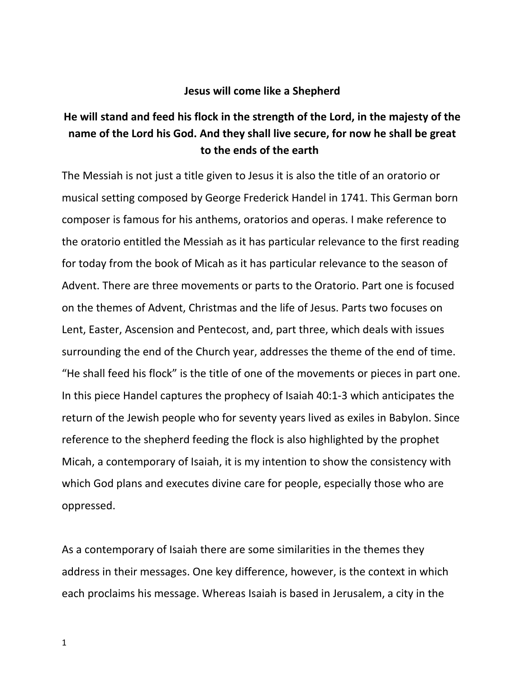## **Jesus will come like a Shepherd**

## **He will stand and feed his flock in the strength of the Lord, in the majesty of the name of the Lord his God. And they shall live secure, for now he shall be great to the ends of the earth**

The Messiah is not just a title given to Jesus it is also the title of an oratorio or musical setting composed by George Frederick Handel in 1741. This German born composer is famous for his anthems, oratorios and operas. I make reference to the oratorio entitled the Messiah as it has particular relevance to the first reading for today from the book of Micah as it has particular relevance to the season of Advent. There are three movements or parts to the Oratorio. Part one is focused on the themes of Advent, Christmas and the life of Jesus. Parts two focuses on Lent, Easter, Ascension and Pentecost, and, part three, which deals with issues surrounding the end of the Church year, addresses the theme of the end of time. "He shall feed his flock" is the title of one of the movements or pieces in part one. In this piece Handel captures the prophecy of Isaiah 40:1-3 which anticipates the return of the Jewish people who for seventy years lived as exiles in Babylon. Since reference to the shepherd feeding the flock is also highlighted by the prophet Micah, a contemporary of Isaiah, it is my intention to show the consistency with which God plans and executes divine care for people, especially those who are oppressed.

As a contemporary of Isaiah there are some similarities in the themes they address in their messages. One key difference, however, is the context in which each proclaims his message. Whereas Isaiah is based in Jerusalem, a city in the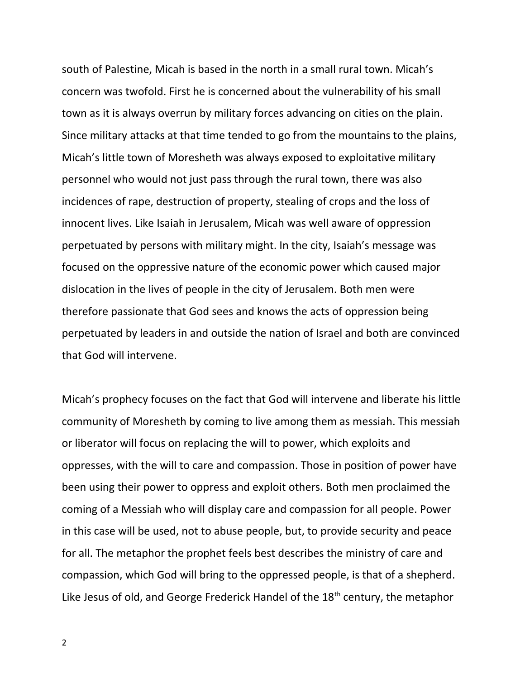south of Palestine, Micah is based in the north in a small rural town. Micah's concern was twofold. First he is concerned about the vulnerability of his small town as it is always overrun by military forces advancing on cities on the plain. Since military attacks at that time tended to go from the mountains to the plains, Micah's little town of Moresheth was always exposed to exploitative military personnel who would not just pass through the rural town, there was also incidences of rape, destruction of property, stealing of crops and the loss of innocent lives. Like Isaiah in Jerusalem, Micah was well aware of oppression perpetuated by persons with military might. In the city, Isaiah's message was focused on the oppressive nature of the economic power which caused major dislocation in the lives of people in the city of Jerusalem. Both men were therefore passionate that God sees and knows the acts of oppression being perpetuated by leaders in and outside the nation of Israel and both are convinced that God will intervene.

Micah's prophecy focuses on the fact that God will intervene and liberate his little community of Moresheth by coming to live among them as messiah. This messiah or liberator will focus on replacing the will to power, which exploits and oppresses, with the will to care and compassion. Those in position of power have been using their power to oppress and exploit others. Both men proclaimed the coming of a Messiah who will display care and compassion for all people. Power in this case will be used, not to abuse people, but, to provide security and peace for all. The metaphor the prophet feels best describes the ministry of care and compassion, which God will bring to the oppressed people, is that of a shepherd. Like Jesus of old, and George Frederick Handel of the 18<sup>th</sup> century, the metaphor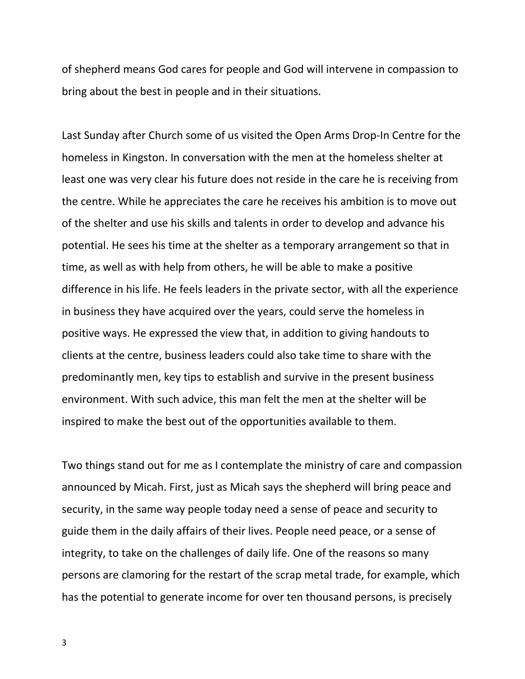of shepherd means God cares for people and God will intervene in compassion to bring about the best in people and in their situations.

Last Sunday after Church some of us visited the Open Arms Drop-In Centre for the homeless in Kingston. In conversation with the men at the homeless shelter at least one was very clear his future does not reside in the care he is receiving from the centre. While he appreciates the care he receives his ambition is to move out of the shelter and use his skills and talents in order to develop and advance his potential. He sees his time at the shelter as a temporary arrangement so that in time, as well as with help from others, he will be able to make a positive difference in his life. He feels leaders in the private sector, with all the experience in business they have acquired over the years, could serve the homeless in positive ways. He expressed the view that, in addition to giving handouts to clients at the centre, business leaders could also take time to share with the predominantly men, key tips to establish and survive in the present business environment. With such advice, this man felt the men at the shelter will be inspired to make the best out of the opportunities available to them.

Two things stand out for me as I contemplate the ministry of care and compassion announced by Micah. First, just as Micah says the shepherd will bring peace and security, in the same way people today need a sense of peace and security to guide them in the daily affairs of their lives. People need peace, or a sense of integrity, to take on the challenges of daily life. One of the reasons so many persons are clamoring for the restart of the scrap metal trade, for example, which has the potential to generate income for over ten thousand persons, is precisely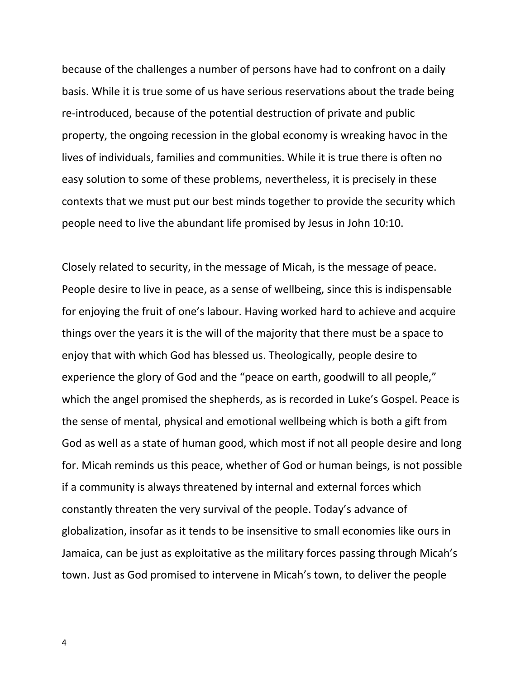because of the challenges a number of persons have had to confront on a daily basis. While it is true some of us have serious reservations about the trade being re-introduced, because of the potential destruction of private and public property, the ongoing recession in the global economy is wreaking havoc in the lives of individuals, families and communities. While it is true there is often no easy solution to some of these problems, nevertheless, it is precisely in these contexts that we must put our best minds together to provide the security which people need to live the abundant life promised by Jesus in John 10:10.

Closely related to security, in the message of Micah, is the message of peace. People desire to live in peace, as a sense of wellbeing, since this is indispensable for enjoying the fruit of one's labour. Having worked hard to achieve and acquire things over the years it is the will of the majority that there must be a space to enjoy that with which God has blessed us. Theologically, people desire to experience the glory of God and the "peace on earth, goodwill to all people," which the angel promised the shepherds, as is recorded in Luke's Gospel. Peace is the sense of mental, physical and emotional wellbeing which is both a gift from God as well as a state of human good, which most if not all people desire and long for. Micah reminds us this peace, whether of God or human beings, is not possible if a community is always threatened by internal and external forces which constantly threaten the very survival of the people. Today's advance of globalization, insofar as it tends to be insensitive to small economies like ours in Jamaica, can be just as exploitative as the military forces passing through Micah's town. Just as God promised to intervene in Micah's town, to deliver the people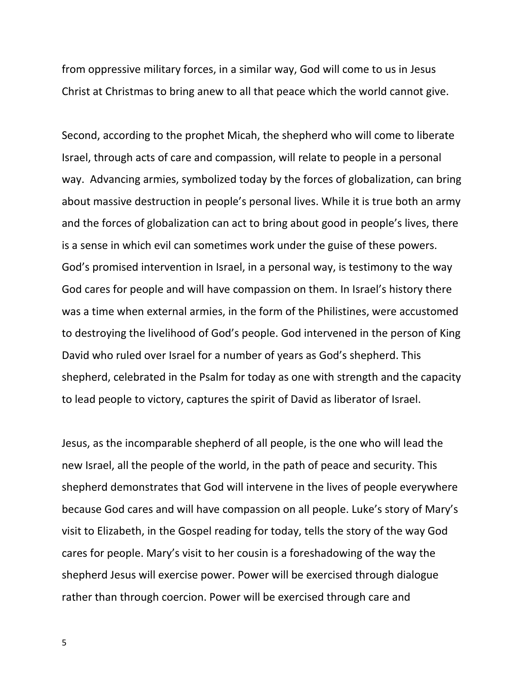from oppressive military forces, in a similar way, God will come to us in Jesus Christ at Christmas to bring anew to all that peace which the world cannot give.

Second, according to the prophet Micah, the shepherd who will come to liberate Israel, through acts of care and compassion, will relate to people in a personal way. Advancing armies, symbolized today by the forces of globalization, can bring about massive destruction in people's personal lives. While it is true both an army and the forces of globalization can act to bring about good in people's lives, there is a sense in which evil can sometimes work under the guise of these powers. God's promised intervention in Israel, in a personal way, is testimony to the way God cares for people and will have compassion on them. In Israel's history there was a time when external armies, in the form of the Philistines, were accustomed to destroying the livelihood of God's people. God intervened in the person of King David who ruled over Israel for a number of years as God's shepherd. This shepherd, celebrated in the Psalm for today as one with strength and the capacity to lead people to victory, captures the spirit of David as liberator of Israel.

Jesus, as the incomparable shepherd of all people, is the one who will lead the new Israel, all the people of the world, in the path of peace and security. This shepherd demonstrates that God will intervene in the lives of people everywhere because God cares and will have compassion on all people. Luke's story of Mary's visit to Elizabeth, in the Gospel reading for today, tells the story of the way God cares for people. Mary's visit to her cousin is a foreshadowing of the way the shepherd Jesus will exercise power. Power will be exercised through dialogue rather than through coercion. Power will be exercised through care and